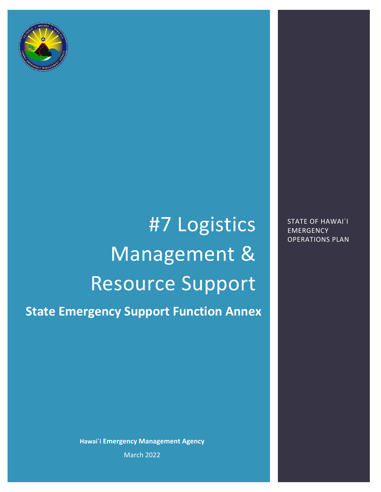

# #7 Logistics Management & Resource Support

**State Emergency Support Function Annex**

**Hawai`i Emergency Management Agency** March 2022

STATE OF HAWAI`I EMERGENCY OPERATIONS PLAN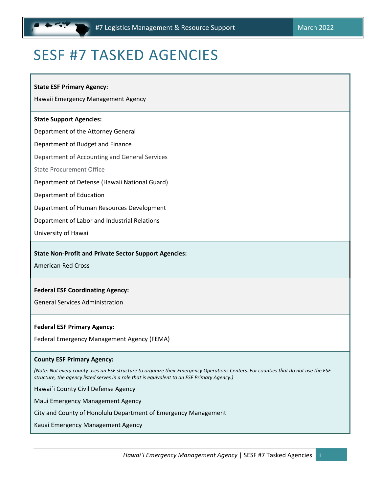# <span id="page-1-0"></span>SESF #7 TASKED AGENCIES

#### **State ESF Primary Agency:**

Hawaii Emergency Management Agency

#### **State Support Agencies:**

Department of the Attorney General

Department of Budget and Finance

Department of Accounting and General Services

State Procurement Office

Department of Defense (Hawaii National Guard)

Department of Education

Department of Human Resources Development

Department of Labor and Industrial Relations

University of Hawaii

#### **State Non-Profit and Private Sector Support Agencies:**

American Red Cross

#### **Federal ESF Coordinating Agency:**

General Services Administration

#### **Federal ESF Primary Agency:**

Federal Emergency Management Agency (FEMA)

#### **County ESF Primary Agency:**

*(Note: Not every county uses an ESF structure to organize their Emergency Operations Centers. For counties that do not use the ESF structure, the agency listed serves in a role that is equivalent to an ESF Primary Agency.)* 

Hawai`i County Civil Defense Agency

Maui Emergency Management Agency

City and County of Honolulu Department of Emergency Management

Kauai Emergency Management Agency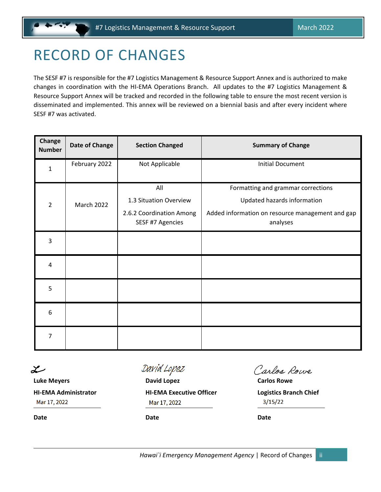# <span id="page-2-0"></span>RECORD OF CHANGES

The SESF #7 is responsible for the #7 Logistics Management & Resource Support Annex and is authorized to make changes in coordination with the HI-EMA Operations Branch. All updates to the #7 Logistics Management & Resource Support Annex will be tracked and recorded in the following table to ensure the most recent version is disseminated and implemented. This annex will be reviewed on a biennial basis and after every incident where SESF #7 was activated.

| Change<br><b>Number</b> | <b>Date of Change</b> | <b>Section Changed</b>                       | <b>Summary of Change</b>                                     |  |  |  |
|-------------------------|-----------------------|----------------------------------------------|--------------------------------------------------------------|--|--|--|
| 1                       | February 2022         | Not Applicable                               | <b>Initial Document</b>                                      |  |  |  |
|                         | <b>March 2022</b>     | All                                          | Formatting and grammar corrections                           |  |  |  |
| $\overline{2}$          |                       | 1.3 Situation Overview                       | Updated hazards information                                  |  |  |  |
|                         |                       | 2.6.2 Coordination Among<br>SESF #7 Agencies | Added information on resource management and gap<br>analyses |  |  |  |
| 3                       |                       |                                              |                                                              |  |  |  |
| 4                       |                       |                                              |                                                              |  |  |  |
| 5                       |                       |                                              |                                                              |  |  |  |
| 6                       |                       |                                              |                                                              |  |  |  |
| 7                       |                       |                                              |                                                              |  |  |  |

مسله

Mar 17, 2022

**Date Date Date**

David Lopez

**Luke Meyers David Lopez Carlos Rowe HI-EMA Administrator HI-EMA Executive Officer Logistics Branch Chief** Mar 17, 2022

Carlos Rowe

 $3/15/22$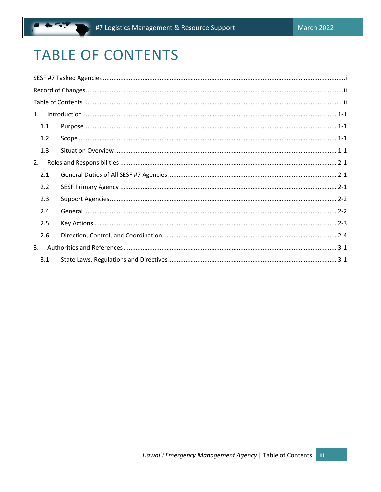# <span id="page-3-0"></span>**TABLE OF CONTENTS**

| 1. |     |  |
|----|-----|--|
|    | 1.1 |  |
|    | 1.2 |  |
|    | 1.3 |  |
| 2. |     |  |
|    | 2.1 |  |
|    | 2.2 |  |
|    | 2.3 |  |
|    | 2.4 |  |
|    | 2.5 |  |
|    | 2.6 |  |
| 3. |     |  |
|    | 3.1 |  |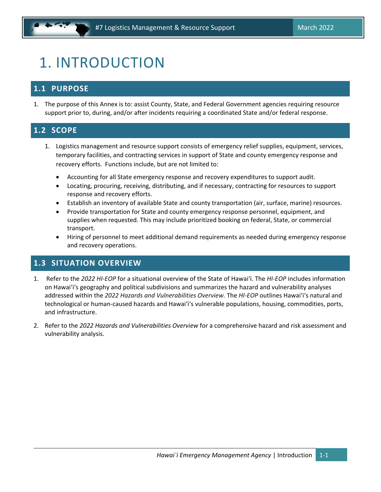# <span id="page-4-0"></span>1. INTRODUCTION

# <span id="page-4-1"></span>**1.1 PURPOSE**

1. The purpose of this Annex is to: assist County, State, and Federal Government agencies requiring resource support prior to, during, and/or after incidents requiring a coordinated State and/or federal response.

# <span id="page-4-2"></span>**1.2 SCOPE**

- 1. Logistics management and resource support consists of emergency relief supplies, equipment, services, temporary facilities, and contracting services in support of State and county emergency response and recovery efforts. Functions include, but are not limited to:
	- Accounting for all State emergency response and recovery expenditures to support audit.
	- Locating, procuring, receiving, distributing, and if necessary, contracting for resources to support response and recovery efforts.
	- Establish an inventory of available State and county transportation (air, surface, marine) resources.
	- Provide transportation for State and county emergency response personnel, equipment, and supplies when requested. This may include prioritized booking on federal, State, or commercial transport.
	- Hiring of personnel to meet additional demand requirements as needed during emergency response and recovery operations.

## <span id="page-4-3"></span>**1.3 SITUATION OVERVIEW**

- 1. Refer to the *2022 HI-EOP* for a situational overview of the State of Hawai'i. The *HI-EOP* includes information on Hawai'i's geography and political subdivisions and summarizes the hazard and vulnerability analyses addressed within the *2022 Hazards and Vulnerabilities Overview.* The *HI-EOP* outlines Hawai'i's natural and technological or human-caused hazards and Hawai'i's vulnerable populations, housing, commodities, ports, and infrastructure.
- 2. Refer to the *2022 Hazards and Vulnerabilities Overview* for a comprehensive hazard and risk assessment and vulnerability analysis.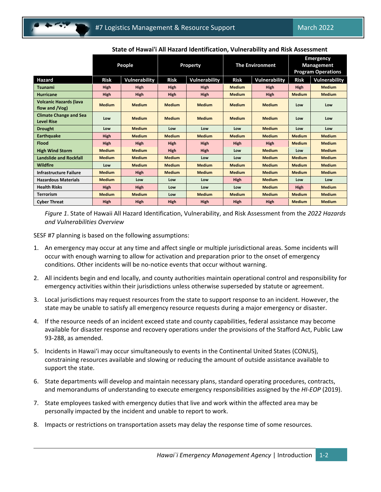|                                                    | People        |               | Property      |               | <b>The Environment</b> |               | <b>Emergency</b><br><b>Management</b> |                      |
|----------------------------------------------------|---------------|---------------|---------------|---------------|------------------------|---------------|---------------------------------------|----------------------|
|                                                    |               |               |               |               |                        |               | <b>Program Operations</b>             |                      |
| Hazard                                             | <b>Risk</b>   | Vulnerability | <b>Risk</b>   | Vulnerability | <b>Risk</b>            | Vulnerability | <b>Risk</b>                           | <b>Vulnerability</b> |
| <b>Tsunami</b>                                     | <b>High</b>   | <b>High</b>   | <b>High</b>   | <b>High</b>   | <b>Medium</b>          | <b>High</b>   | <b>High</b>                           | <b>Medium</b>        |
| <b>Hurricane</b>                                   | <b>High</b>   | <b>High</b>   | <b>High</b>   | <b>High</b>   | <b>Medium</b>          | <b>High</b>   | <b>Medium</b>                         | <b>Medium</b>        |
| <b>Volcanic Hazards (lava</b><br>flow and /Vog)    | <b>Medium</b> | <b>Medium</b> | <b>Medium</b> | <b>Medium</b> | <b>Medium</b>          | <b>Medium</b> | Low                                   | Low                  |
| <b>Climate Change and Sea</b><br><b>Level Rise</b> | Low           | <b>Medium</b> | <b>Medium</b> | <b>Medium</b> | <b>Medium</b>          | <b>Medium</b> | Low                                   | Low                  |
| <b>Drought</b>                                     | Low           | <b>Medium</b> | Low           | Low           | Low                    | <b>Medium</b> | Low                                   | Low                  |
| <b>Earthquake</b>                                  | <b>High</b>   | <b>Medium</b> | <b>Medium</b> | <b>Medium</b> | <b>Medium</b>          | <b>Medium</b> | <b>Medium</b>                         | <b>Medium</b>        |
| <b>Flood</b>                                       | <b>High</b>   | <b>High</b>   | <b>High</b>   | <b>High</b>   | <b>High</b>            | <b>High</b>   | <b>Medium</b>                         | <b>Medium</b>        |
| <b>High Wind Storm</b>                             | <b>Medium</b> | <b>Medium</b> | <b>High</b>   | <b>High</b>   | Low                    | <b>Medium</b> | Low                                   | <b>Medium</b>        |
| <b>Landslide and Rockfall</b>                      | <b>Medium</b> | <b>Medium</b> | <b>Medium</b> | Low           | Low                    | <b>Medium</b> | <b>Medium</b>                         | <b>Medium</b>        |
| <b>Wildfire</b>                                    | Low           | <b>Medium</b> | <b>Medium</b> | <b>Medium</b> | <b>Medium</b>          | <b>Medium</b> | <b>Medium</b>                         | <b>Medium</b>        |
| Infrastructure Failure                             | <b>Medium</b> | <b>High</b>   | <b>Medium</b> | <b>Medium</b> | <b>Medium</b>          | <b>Medium</b> | <b>Medium</b>                         | <b>Medium</b>        |
| <b>Hazardous Materials</b>                         | <b>Medium</b> | Low           | Low           | Low           | <b>High</b>            | <b>Medium</b> | Low                                   | Low                  |
| <b>Health Risks</b>                                | <b>High</b>   | <b>High</b>   | Low           | Low           | Low                    | <b>Medium</b> | <b>High</b>                           | <b>Medium</b>        |
| <b>Terrorism</b>                                   | <b>Medium</b> | <b>Medium</b> | Low           | <b>Medium</b> | <b>Medium</b>          | <b>Medium</b> | <b>Medium</b>                         | <b>Medium</b>        |
| <b>Cyber Threat</b>                                | <b>High</b>   | <b>High</b>   | High          | <b>High</b>   | <b>High</b>            | <b>High</b>   | <b>Medium</b>                         | <b>Medium</b>        |

#### **State of Hawai'i All Hazard Identification, Vulnerability and Risk Assessment**

*Figure 1*. State of Hawaii All Hazard Identification, Vulnerability, and Risk Assessment from the *2022 Hazards and Vulnerabilities Overview*

SESF #7 planning is based on the following assumptions:

- 1. An emergency may occur at any time and affect single or multiple jurisdictional areas. Some incidents will occur with enough warning to allow for activation and preparation prior to the onset of emergency conditions. Other incidents will be no-notice events that occur without warning.
- 2. All incidents begin and end locally, and county authorities maintain operational control and responsibility for emergency activities within their jurisdictions unless otherwise superseded by statute or agreement.
- 3. Local jurisdictions may request resources from the state to support response to an incident. However, the state may be unable to satisfy all emergency resource requests during a major emergency or disaster.
- 4. If the resource needs of an incident exceed state and county capabilities, federal assistance may become available for disaster response and recovery operations under the provisions of the Stafford Act, Public Law 93-288, as amended.
- 5. Incidents in Hawai'i may occur simultaneously to events in the Continental United States (CONUS), constraining resources available and slowing or reducing the amount of outside assistance available to support the state.
- 6. State departments will develop and maintain necessary plans, standard operating procedures, contracts, and memorandums of understanding to execute emergency responsibilities assigned by the *HI-EOP* (2019).
- 7. State employees tasked with emergency duties that live and work within the affected area may be personally impacted by the incident and unable to report to work.
- 8. Impacts or restrictions on transportation assets may delay the response time of some resources.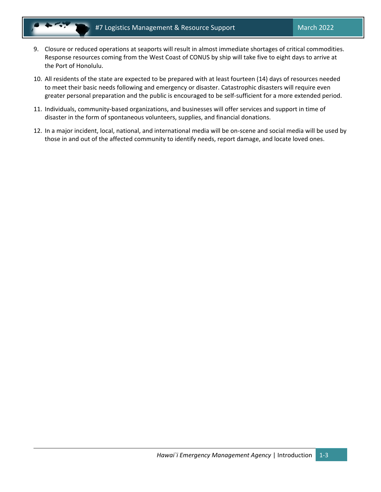- 9. Closure or reduced operations at seaports will result in almost immediate shortages of critical commodities. Response resources coming from the West Coast of CONUS by ship will take five to eight days to arrive at the Port of Honolulu.
- 10. All residents of the state are expected to be prepared with at least fourteen (14) days of resources needed to meet their basic needs following and emergency or disaster. Catastrophic disasters will require even greater personal preparation and the public is encouraged to be self-sufficient for a more extended period.
- 11. Individuals, community-based organizations, and businesses will offer services and support in time of disaster in the form of spontaneous volunteers, supplies, and financial donations.
- 12. In a major incident, local, national, and international media will be on-scene and social media will be used by those in and out of the affected community to identify needs, report damage, and locate loved ones.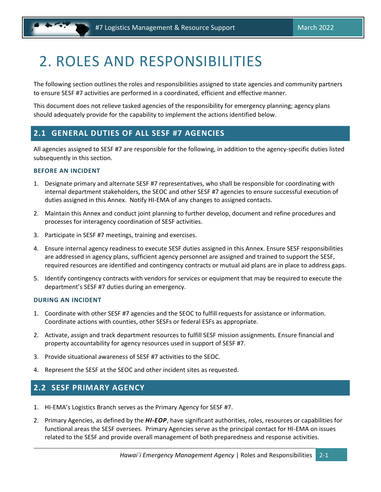# <span id="page-7-0"></span>2. ROLES AND RESPONSIBILITIES

The following section outlines the roles and responsibilities assigned to state agencies and community partners to ensure SESF #7 activities are performed in a coordinated, efficient and effective manner.

This document does not relieve tasked agencies of the responsibility for emergency planning; agency plans should adequately provide for the capability to implement the actions identified below.

# <span id="page-7-1"></span>**2.1 GENERAL DUTIES OF ALL SESF #7 AGENCIES**

All agencies assigned to SESF #7 are responsible for the following, in addition to the agency-specific duties listed subsequently in this section.

#### **BEFORE AN INCIDENT**

- 1. Designate primary and alternate SESF #7 representatives, who shall be responsible for coordinating with internal department stakeholders, the SEOC and other SESF #7 agencies to ensure successful execution of duties assigned in this Annex. Notify HI-EMA of any changes to assigned contacts.
- 2. Maintain this Annex and conduct joint planning to further develop, document and refine procedures and processes for interagency coordination of SESF activities.
- 3. Participate in SESF #7 meetings, training and exercises.
- 4. Ensure internal agency readiness to execute SESF duties assigned in this Annex. Ensure SESF responsibilities are addressed in agency plans, sufficient agency personnel are assigned and trained to support the SESF, required resources are identified and contingency contracts or mutual aid plans are in place to address gaps.
- 5. Identify contingency contracts with vendors for services or equipment that may be required to execute the department's SESF #7 duties during an emergency.

#### **DURING AN INCIDENT**

- 1. Coordinate with other SESF #7 agencies and the SEOC to fulfill requests for assistance or information. Coordinate actions with counties, other SESFs or federal ESFs as appropriate.
- 2. Activate, assign and track department resources to fulfill SESF mission assignments. Ensure financial and property accountability for agency resources used in support of SESF #7.
- 3. Provide situational awareness of SESF #7 activities to the SEOC.
- 4. Represent the SESF at the SEOC and other incident sites as requested.

## <span id="page-7-2"></span>**2.2 SESF PRIMARY AGENCY**

- 1. HI-EMA's Logistics Branch serves as the Primary Agency for SESF #7.
- 2. Primary Agencies, as defined by the *HI-EOP*, have significant authorities, roles, resources or capabilities for functional areas the SESF oversees. Primary Agencies serve as the principal contact for HI-EMA on issues related to the SESF and provide overall management of both preparedness and response activities.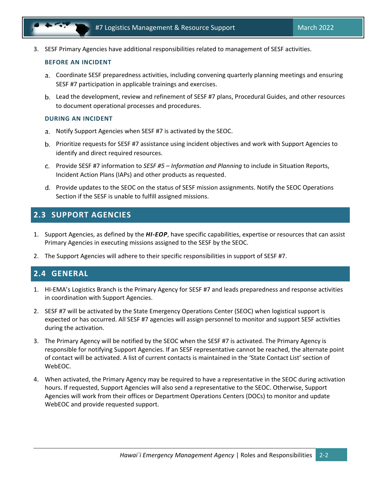3. SESF Primary Agencies have additional responsibilities related to management of SESF activities.

#### **BEFORE AN INCIDENT**

- Coordinate SESF preparedness activities, including convening quarterly planning meetings and ensuring SESF #7 participation in applicable trainings and exercises.
- Lead the development, review and refinement of SESF #7 plans, Procedural Guides, and other resources to document operational processes and procedures.

#### **DURING AN INCIDENT**

- Notify Support Agencies when SESF #7 is activated by the SEOC.
- Prioritize requests for SESF #7 assistance using incident objectives and work with Support Agencies to identify and direct required resources.
- Provide SESF #7 information to *SESF #5 – Information and Planning* to include in Situation Reports, Incident Action Plans (IAPs) and other products as requested.
- d. Provide updates to the SEOC on the status of SESF mission assignments. Notify the SEOC Operations Section if the SESF is unable to fulfill assigned missions.

# <span id="page-8-0"></span>**2.3 SUPPORT AGENCIES**

- 1. Support Agencies, as defined by the *HI-EOP*, have specific capabilities, expertise or resources that can assist Primary Agencies in executing missions assigned to the SESF by the SEOC.
- 2. The Support Agencies will adhere to their specific responsibilities in support of SESF #7.

## <span id="page-8-1"></span>**2.4 GENERAL**

- 1. HI-EMA's Logistics Branch is the Primary Agency for SESF #7 and leads preparedness and response activities in coordination with Support Agencies.
- 2. SESF #7 will be activated by the State Emergency Operations Center (SEOC) when logistical support is expected or has occurred. All SESF #7 agencies will assign personnel to monitor and support SESF activities during the activation.
- 3. The Primary Agency will be notified by the SEOC when the SESF #7 is activated. The Primary Agency is responsible for notifying Support Agencies. If an SESF representative cannot be reached, the alternate point of contact will be activated. A list of current contacts is maintained in the 'State Contact List' section of WebEOC.
- 4. When activated, the Primary Agency may be required to have a representative in the SEOC during activation hours. If requested, Support Agencies will also send a representative to the SEOC. Otherwise, Support Agencies will work from their offices or Department Operations Centers (DOCs) to monitor and update WebEOC and provide requested support.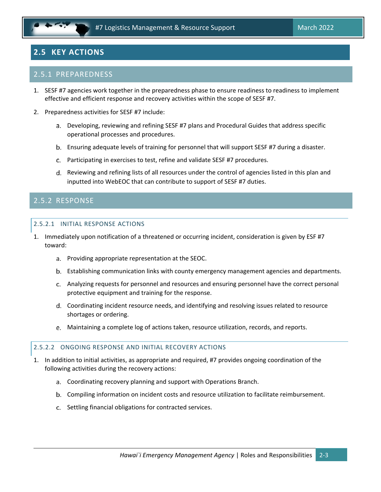# <span id="page-9-0"></span>**2.5 KEY ACTIONS**

#### 2.5.1 PREPAREDNESS

- 1. SESF #7 agencies work together in the preparedness phase to ensure readiness to readiness to implement effective and efficient response and recovery activities within the scope of SESF #7.
- 2. Preparedness activities for SESF #7 include:
	- Developing, reviewing and refining SESF #7 plans and Procedural Guides that address specific operational processes and procedures.
	- Ensuring adequate levels of training for personnel that will support SESF #7 during a disaster.
	- Participating in exercises to test, refine and validate SESF #7 procedures.
	- d. Reviewing and refining lists of all resources under the control of agencies listed in this plan and inputted into WebEOC that can contribute to support of SESF #7 duties.

### 2.5.2 RESPONSE

#### 2.5.2.1 INITIAL RESPONSE ACTIONS

- 1. Immediately upon notification of a threatened or occurring incident, consideration is given by ESF #7 toward:
	- Providing appropriate representation at the SEOC.
	- Establishing communication links with county emergency management agencies and departments.
	- Analyzing requests for personnel and resources and ensuring personnel have the correct personal protective equipment and training for the response.
	- Coordinating incident resource needs, and identifying and resolving issues related to resource shortages or ordering.
	- Maintaining a complete log of actions taken, resource utilization, records, and reports.

#### 2.5.2.2 ONGOING RESPONSE AND INITIAL RECOVERY ACTIONS

- 1. In addition to initial activities, as appropriate and required, #7 provides ongoing coordination of the following activities during the recovery actions:
	- Coordinating recovery planning and support with Operations Branch.
	- Compiling information on incident costs and resource utilization to facilitate reimbursement.
	- c. Settling financial obligations for contracted services.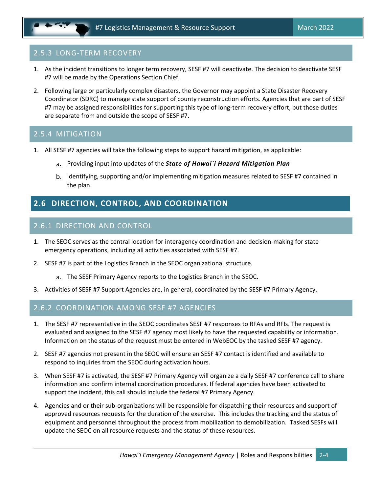# 2.5.3 LONG-TERM RECOVERY

- 1. As the incident transitions to longer term recovery, SESF #7 will deactivate. The decision to deactivate SESF #7 will be made by the Operations Section Chief.
- 2. Following large or particularly complex disasters, the Governor may appoint a State Disaster Recovery Coordinator (SDRC) to manage state support of county reconstruction efforts. Agencies that are part of SESF #7 may be assigned responsibilities for supporting this type of long-term recovery effort, but those duties are separate from and outside the scope of SESF #7.

### 2.5.4 MITIGATION

- 1. All SESF #7 agencies will take the following steps to support hazard mitigation, as applicable:
	- Providing input into updates of the *State of Hawai`i Hazard Mitigation Plan*
	- b. Identifying, supporting and/or implementing mitigation measures related to SESF #7 contained in the plan.

# <span id="page-10-0"></span>**2.6 DIRECTION, CONTROL, AND COORDINATION**

# 2.6.1 DIRECTION AND CONTROL

- 1. The SEOC serves as the central location for interagency coordination and decision-making for state emergency operations, including all activities associated with SESF #7.
- 2. SESF #7 is part of the Logistics Branch in the SEOC organizational structure.
	- The SESF Primary Agency reports to the Logistics Branch in the SEOC.
- 3. Activities of SESF #7 Support Agencies are, in general, coordinated by the SESF #7 Primary Agency.

### 2.6.2 COORDINATION AMONG SESF #7 AGENCIES

- 1. The SESF #7 representative in the SEOC coordinates SESF #7 responses to RFAs and RFIs. The request is evaluated and assigned to the SESF #7 agency most likely to have the requested capability or information. Information on the status of the request must be entered in WebEOC by the tasked SESF #7 agency.
- 2. SESF #7 agencies not present in the SEOC will ensure an SESF #7 contact is identified and available to respond to inquiries from the SEOC during activation hours.
- 3. When SESF #7 is activated, the SESF #7 Primary Agency will organize a daily SESF #7 conference call to share information and confirm internal coordination procedures. If federal agencies have been activated to support the incident, this call should include the federal #7 Primary Agency.
- 4. Agencies and or their sub-organizations will be responsible for dispatching their resources and support of approved resources requests for the duration of the exercise. This includes the tracking and the status of equipment and personnel throughout the process from mobilization to demobilization. Tasked SESFs will update the SEOC on all resource requests and the status of these resources.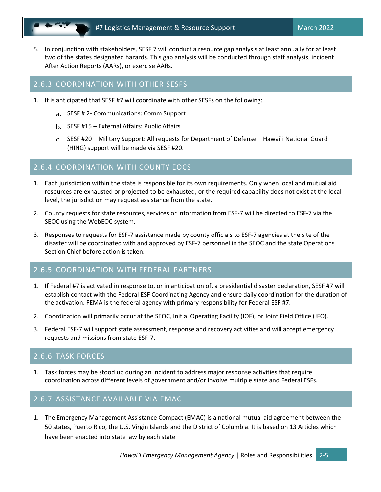5. In conjunction with stakeholders, SESF 7 will conduct a resource gap analysis at least annually for at least two of the states designated hazards. This gap analysis will be conducted through staff analysis, incident After Action Reports (AARs), or exercise AARs.

#### 2.6.3 COORDINATION WITH OTHER SESFS

- 1. It is anticipated that SESF #7 will coordinate with other SESFs on the following:
	- SESF # 2- Communications: Comm Support
	- b. SESF #15 External Affairs: Public Affairs
	- SESF #20 Military Support: All requests for Department of Defense Hawai`i National Guard (HING) support will be made via SESF #20.

#### 2.6.4 COORDINATION WITH COUNTY EOCS

- 1. Each jurisdiction within the state is responsible for its own requirements. Only when local and mutual aid resources are exhausted or projected to be exhausted, or the required capability does not exist at the local level, the jurisdiction may request assistance from the state.
- 2. County requests for state resources, services or information from ESF-7 will be directed to ESF-7 via the SEOC using the WebEOC system.
- 3. Responses to requests for ESF-7 assistance made by county officials to ESF-7 agencies at the site of the disaster will be coordinated with and approved by ESF-7 personnel in the SEOC and the state Operations Section Chief before action is taken.

### 2.6.5 COORDINATION WITH FEDERAL PARTNERS

- 1. If Federal #7 is activated in response to, or in anticipation of, a presidential disaster declaration, SESF #7 will establish contact with the Federal ESF Coordinating Agency and ensure daily coordination for the duration of the activation. FEMA is the federal agency with primary responsibility for Federal ESF #7.
- 2. Coordination will primarily occur at the SEOC, Initial Operating Facility (IOF), or Joint Field Office (JFO).
- 3. Federal ESF-7 will support state assessment, response and recovery activities and will accept emergency requests and missions from state ESF-7.

#### 2.6.6 TASK FORCES

1. Task forces may be stood up during an incident to address major response activities that require coordination across different levels of government and/or involve multiple state and Federal ESFs.

### 2.6.7 ASSISTANCE AVAILABLE VIA EMAC

1. The Emergency Management Assistance Compact (EMAC) is a national mutual aid agreement between the 50 states, Puerto Rico, the U.S. Virgin Islands and the District of Columbia. It is based on 13 Articles which have been enacted into state law by each state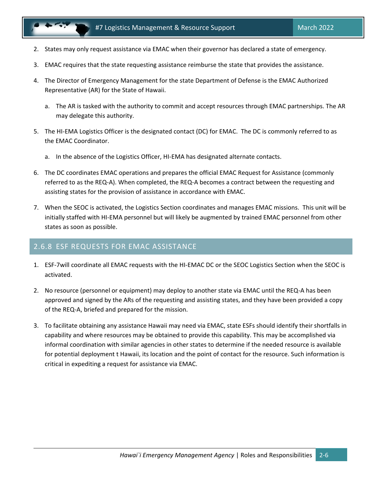- 2. States may only request assistance via EMAC when their governor has declared a state of emergency.
- 3. EMAC requires that the state requesting assistance reimburse the state that provides the assistance.
- 4. The Director of Emergency Management for the state Department of Defense is the EMAC Authorized Representative (AR) for the State of Hawaii.
	- a. The AR is tasked with the authority to commit and accept resources through EMAC partnerships. The AR may delegate this authority.
- 5. The HI-EMA Logistics Officer is the designated contact (DC) for EMAC. The DC is commonly referred to as the EMAC Coordinator.
	- a. In the absence of the Logistics Officer, HI-EMA has designated alternate contacts.
- 6. The DC coordinates EMAC operations and prepares the official EMAC Request for Assistance (commonly referred to as the REQ-A). When completed, the REQ-A becomes a contract between the requesting and assisting states for the provision of assistance in accordance with EMAC.
- 7. When the SEOC is activated, the Logistics Section coordinates and manages EMAC missions. This unit will be initially staffed with HI-EMA personnel but will likely be augmented by trained EMAC personnel from other states as soon as possible.

#### 2.6.8 ESF REQUESTS FOR EMAC ASSISTANCE

- 1. ESF-7will coordinate all EMAC requests with the HI-EMAC DC or the SEOC Logistics Section when the SEOC is activated.
- 2. No resource (personnel or equipment) may deploy to another state via EMAC until the REQ-A has been approved and signed by the ARs of the requesting and assisting states, and they have been provided a copy of the REQ-A, briefed and prepared for the mission.
- 3. To facilitate obtaining any assistance Hawaii may need via EMAC, state ESFs should identify their shortfalls in capability and where resources may be obtained to provide this capability. This may be accomplished via informal coordination with similar agencies in other states to determine if the needed resource is available for potential deployment t Hawaii, its location and the point of contact for the resource. Such information is critical in expediting a request for assistance via EMAC.